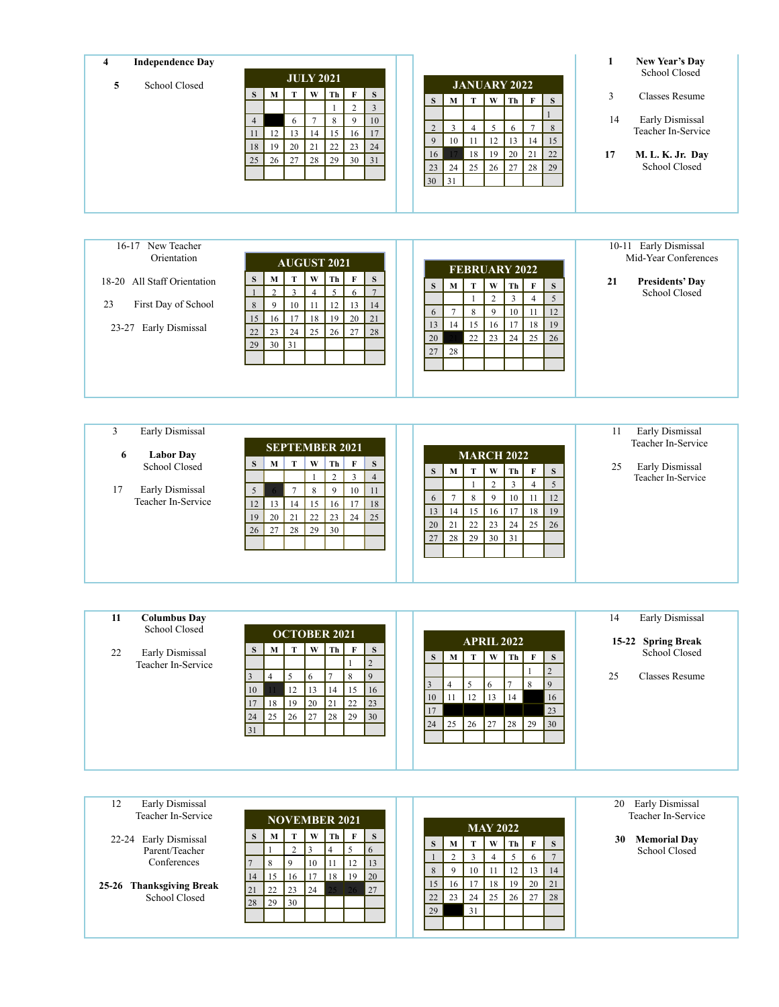| <b>Independence Day</b><br>$\overline{\mathbf{4}}$ | <b>JULY 2021</b>                                                                            |                                                                              | 1<br>New Year's Day<br>School Closed    |  |  |
|----------------------------------------------------|---------------------------------------------------------------------------------------------|------------------------------------------------------------------------------|-----------------------------------------|--|--|
| School Closed<br>5                                 | W<br>T<br>Th<br>$\mathbf{F}$<br>S<br>М                                                      | <b>JANUARY 2022</b><br>S                                                     | 3<br><b>Classes Resume</b>              |  |  |
|                                                    | $\overline{c}$                                                                              | $W$ Th<br>T<br>  F<br>$\mathbf{M}$<br>S<br>S<br>3                            |                                         |  |  |
|                                                    | $\overline{7}$<br>8<br>9<br>6<br>$\overline{4}$                                             | 10                                                                           | 14<br>Early Dismissal                   |  |  |
|                                                    | 13<br>12<br>14<br>15<br>16<br>11                                                            | 5<br>2<br>$\overline{3}$<br>6<br>$\overline{7}$<br>$\overline{4}$<br>8<br>17 | Teacher In-Service                      |  |  |
|                                                    | 21<br>20<br>23<br>18<br>22<br>19                                                            | 13<br>9<br>12<br>14<br>10<br>11<br>15<br>24                                  |                                         |  |  |
|                                                    | 28<br>30<br>27<br>25<br>29<br>26                                                            | 21<br>18<br>20<br>19<br>22<br>16<br>31<br>27<br>28<br>23<br>24               | 17<br>M. L. K. Jr. Day<br>School Closed |  |  |
|                                                    |                                                                                             | 26<br>25<br>29<br>30 <sup>°</sup><br>$\vert$ 31                              |                                         |  |  |
|                                                    |                                                                                             |                                                                              |                                         |  |  |
|                                                    |                                                                                             |                                                                              |                                         |  |  |
|                                                    |                                                                                             |                                                                              |                                         |  |  |
|                                                    |                                                                                             |                                                                              |                                         |  |  |
| New Teacher<br>$16-17$                             |                                                                                             |                                                                              | 10-11 Early Dismissal                   |  |  |
| Orientation                                        | <b>AUGUST 2021</b>                                                                          | FEBRUARY 2022                                                                | Mid-Year Conferences                    |  |  |
|                                                    |                                                                                             |                                                                              |                                         |  |  |
|                                                    |                                                                                             |                                                                              |                                         |  |  |
| 18-20 All Staff Orientation                        | W<br>Th<br>F<br>T<br>S<br>М<br>5 <sup>1</sup><br>$\mathfrak{D}$<br>3<br>6<br>$\overline{4}$ | S<br>$\mathbf T$<br>W<br>Th<br>$\mathbf{F}$<br>S<br>S<br>$\mathbf M$         | 21<br><b>Presidents' Day</b>            |  |  |
| 23<br>First Day of School                          | 8<br>12<br>13<br>9<br>10<br>11                                                              | $\overline{3}$<br>5<br>$\overline{c}$<br>$\overline{4}$<br>14                | School Closed                           |  |  |
|                                                    | 17<br>20<br>15<br>18<br>19<br>16                                                            | $7\phantom{.0}$<br>9<br>10<br>12<br>8<br>-11<br>6<br>21                      |                                         |  |  |
| Early Dismissal<br>$23 - 27$                       | 25<br>22<br>23<br>24<br>26<br>27                                                            | 17<br>13<br>15<br>16<br>18<br>14<br>19<br>28                                 |                                         |  |  |
|                                                    | 29<br>31<br>30                                                                              | 24<br>25<br>22<br>23<br>20<br>26                                             |                                         |  |  |
|                                                    |                                                                                             | 27<br>28                                                                     |                                         |  |  |
|                                                    |                                                                                             |                                                                              |                                         |  |  |

| Early Dismissal       |                 |    |                       |    |    |    |                |  |    |    |    |                   |    |              |    | Early Dismissal<br>11 |
|-----------------------|-----------------|----|-----------------------|----|----|----|----------------|--|----|----|----|-------------------|----|--------------|----|-----------------------|
| <b>Labor Day</b><br>6 |                 |    | <b>SEPTEMBER 2021</b> |    |    |    |                |  |    |    |    | <b>MARCH 2022</b> |    |              |    | Teacher In-Service    |
| School Closed         | S               | M  | Т                     | W  | Th | F  | S              |  | S  | M  | T  | W                 | Th | $\mathbf{F}$ | S  | Early Dismissal<br>25 |
|                       |                 |    |                       |    |    |    | $\overline{4}$ |  |    |    |    |                   | 3  |              |    | Teacher In-Service    |
| Early Dismissal<br>17 | 5               |    |                       | 8  | 9  | 10 | 11             |  |    |    |    |                   |    |              |    |                       |
| Teacher In-Service    | 12 <sub>1</sub> | 13 | 14                    | 15 | 16 | 17 | 18             |  | 6  |    | 8  | 9                 | 10 |              | 12 |                       |
|                       | 19              | 20 | 21                    | 22 | 23 | 24 | 25             |  | 13 | 14 | 15 | 16                | 17 | 18 I         | 19 |                       |
|                       |                 | 27 | 28                    | 29 | 30 |    |                |  | 20 | 21 | 22 | 23                | 24 | 25           | 26 |                       |
|                       | 26 <sup>1</sup> |    |                       |    |    |    |                |  | 27 | 28 | 29 | 30                | 31 |              |    |                       |
|                       |                 |    |                       |    |    |    |                |  |    |    |    |                   |    |              |    |                       |
|                       |                 |    |                       |    |    |    |                |  |    |    |    |                   |    |              |    |                       |
|                       |                 |    |                       |    |    |    |                |  |    |    |    |                   |    |              |    |                       |

| <b>Columbus Day</b><br>11 |    |                     |    |           |      |             |                |  |              |                 |    |                   |       |          |                    |  |                      | 14 | Early Dismissal |
|---------------------------|----|---------------------|----|-----------|------|-------------|----------------|--|--------------|-----------------|----|-------------------|-------|----------|--------------------|--|----------------------|----|-----------------|
| School Closed             |    | <b>OCTOBER 2021</b> |    |           |      |             |                |  |              |                 |    | <b>APRIL 2022</b> |       |          | 15-22 Spring Break |  |                      |    |                 |
| Early Dismissal<br>22     | S  | М                   |    | W         | Th 1 | F           | S              |  |              |                 |    |                   |       |          |                    |  | <b>School Closed</b> |    |                 |
| Teacher In-Service        |    |                     |    |           |      |             |                |  | S.           | M               |    | W                 |       | $Th$ $F$ | <sub>S</sub>       |  |                      |    |                 |
|                           |    |                     |    | 6         |      | 8           | $\overline{q}$ |  |              |                 |    |                   |       |          |                    |  |                      | 25 | Classes Resume  |
|                           |    |                     |    |           |      |             |                |  | <sup>3</sup> |                 | 5  | -6                |       | 8        | 19                 |  |                      |    |                 |
|                           | 10 |                     | 12 | 13        | 14   | 15          | 16             |  | 10           | 11              | 12 | 13                | 14    |          | 16                 |  |                      |    |                 |
|                           |    | 18 I                | 19 | <b>20</b> | 21   | $\sqrt{22}$ | 23             |  |              |                 |    |                   |       |          |                    |  |                      |    |                 |
|                           | 24 | 25                  | 26 | 127       | 28   | $\sqrt{29}$ | 30             |  | 17           |                 |    |                   |       |          | 23                 |  |                      |    |                 |
|                           | 31 |                     |    |           |      |             |                |  | 24           | $\frac{25}{25}$ | 26 | $\sqrt{27}$       | 28 29 |          | $\vert 30 \vert$   |  |                      |    |                 |
|                           |    |                     |    |           |      |             |                |  |              |                 |    |                   |       |          |                    |  |                      |    |                 |
|                           |    |                     |    |           |      |             |                |  |              |                 |    |                   |       |          |                    |  |                      |    |                 |
|                           |    |                     |    |           |      |             |                |  |              |                 |    |                   |       |          |                    |  |                      |    |                 |

| 12<br>Early Dismissal<br>Teacher In-Service |              |                 | <b>NOVEMBER 2021</b> |      |      |              |                 |    |                 |    | <b>MAY 2022</b> |      |          |              | Early Dismissal<br>20<br>Teacher In-Service |
|---------------------------------------------|--------------|-----------------|----------------------|------|------|--------------|-----------------|----|-----------------|----|-----------------|------|----------|--------------|---------------------------------------------|
|                                             | <sub>S</sub> | М               |                      | W    | Th   | $\mathbf{F}$ | S               |    |                 |    |                 |      |          |              |                                             |
| 22-24 Early Dismissal                       |              |                 |                      |      |      |              |                 | S  | мı              | T  | W               | Th 1 | F        | <sub>S</sub> | 30<br><b>Memorial Day</b>                   |
| Parent/Teacher                              |              |                 |                      |      |      |              | <b>b</b>        |    |                 |    |                 |      |          |              | <b>School Closed</b>                        |
| Conferences                                 |              | 8               | $\mathbf Q$          | 10   | I 11 | 12           | 13              |    |                 |    |                 |      | $\sigma$ |              |                                             |
|                                             |              |                 |                      |      |      |              |                 | 8  | $\Omega$        | 10 |                 | 12   | 13       | 14           |                                             |
|                                             | 14           | 15              | 16                   | . 17 | 18   | 19           | $\overline{20}$ |    |                 |    |                 |      |          |              |                                             |
| 25-26 Thanksgiving Break                    | 21           | 22              | 23                   | 24   |      | 26           | 27              | 15 | 16 <sup>1</sup> | 17 | 18              | 19   | -20      | $\sqrt{21}$  |                                             |
| School Closed                               |              |                 |                      |      |      |              |                 | 22 | 23              | 24 | 25              | 26   | 27       | 28           |                                             |
|                                             | 28           | $\frac{129}{2}$ | 30                   |      |      |              |                 | 29 |                 | 31 |                 |      |          |              |                                             |
|                                             |              |                 |                      |      |      |              |                 |    |                 |    |                 |      |          |              |                                             |
|                                             |              |                 |                      |      |      |              |                 |    |                 |    |                 |      |          |              |                                             |
|                                             |              |                 |                      |      |      |              |                 |    |                 |    |                 |      |          |              |                                             |